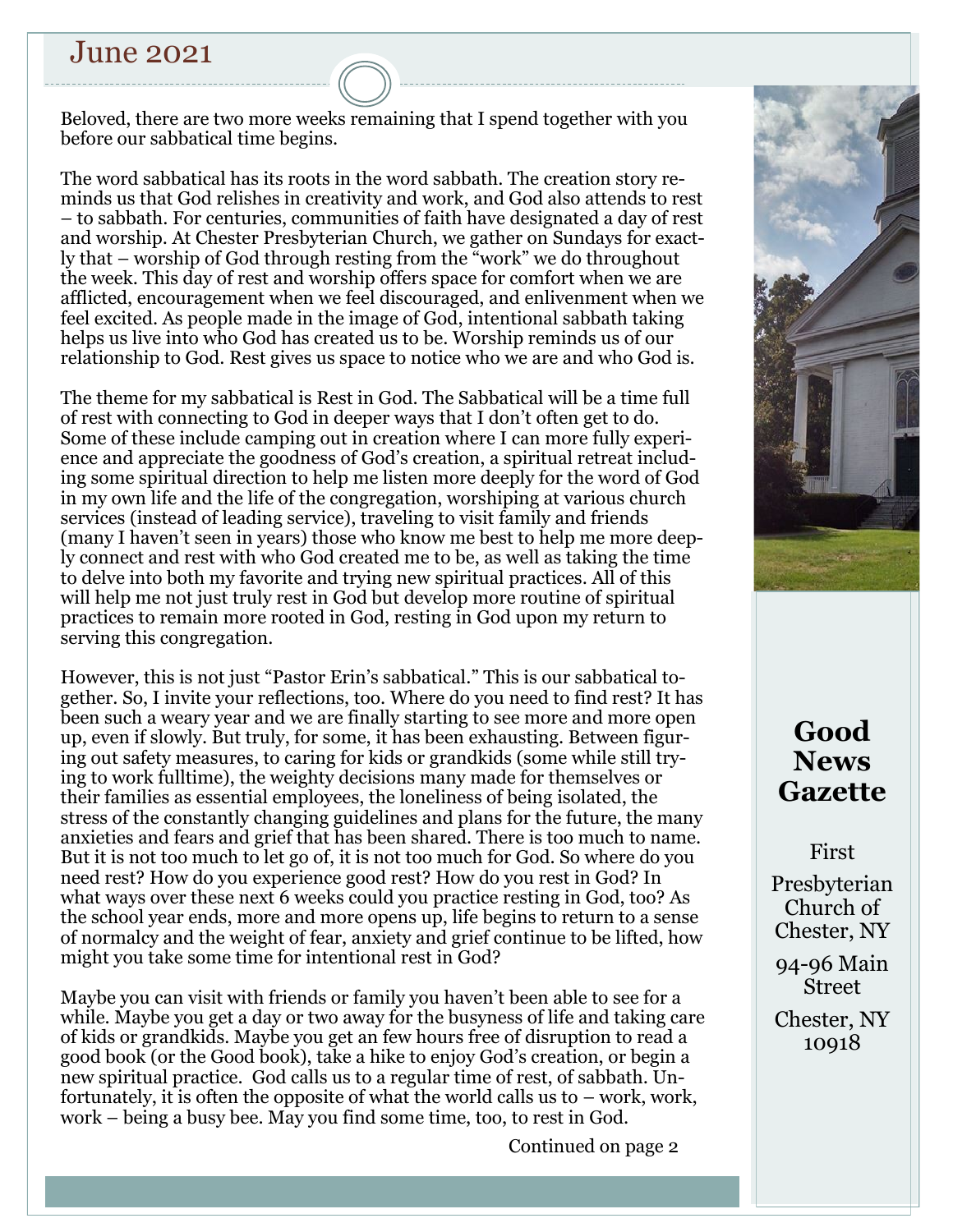## June 2021

Beloved, there are two more weeks remaining that I spend together with you before our sabbatical time begins.

The word sabbatical has its roots in the word sabbath. The creation story reminds us that God relishes in creativity and work, and God also attends to rest – to sabbath. For centuries, communities of faith have designated a day of rest and worship. At Chester Presbyterian Church, we gather on Sundays for exactly that – worship of God through resting from the "work" we do throughout the week. This day of rest and worship offers space for comfort when we are afflicted, encouragement when we feel discouraged, and enlivenment when we feel excited. As people made in the image of God, intentional sabbath taking helps us live into who God has created us to be. Worship reminds us of our relationship to God. Rest gives us space to notice who we are and who God is.

The theme for my sabbatical is Rest in God. The Sabbatical will be a time full of rest with connecting to God in deeper ways that I don't often get to do. Some of these include camping out in creation where I can more fully experience and appreciate the goodness of God's creation, a spiritual retreat including some spiritual direction to help me listen more deeply for the word of God in my own life and the life of the congregation, worshiping at various church services (instead of leading service), traveling to visit family and friends (many I haven't seen in years) those who know me best to help me more deeply connect and rest with who God created me to be, as well as taking the time to delve into both my favorite and trying new spiritual practices. All of this will help me not just truly rest in God but develop more routine of spiritual practices to remain more rooted in God, resting in God upon my return to serving this congregation.

However, this is not just "Pastor Erin's sabbatical." This is our sabbatical together. So, I invite your reflections, too. Where do you need to find rest? It has been such a weary year and we are finally starting to see more and more open up, even if slowly. But truly, for some, it has been exhausting. Between figuring out safety measures, to caring for kids or grandkids (some while still trying to work fulltime), the weighty decisions many made for themselves or their families as essential employees, the loneliness of being isolated, the stress of the constantly changing guidelines and plans for the future, the many anxieties and fears and grief that has been shared. There is too much to name. But it is not too much to let go of, it is not too much for God. So where do you need rest? How do you experience good rest? How do you rest in God? In what ways over these next 6 weeks could you practice resting in God, too? As the school year ends, more and more opens up, life begins to return to a sense of normalcy and the weight of fear, anxiety and grief continue to be lifted, how might you take some time for intentional rest in God?

Maybe you can visit with friends or family you haven't been able to see for a while. Maybe you get a day or two away for the busyness of life and taking care of kids or grandkids. Maybe you get an few hours free of disruption to read a good book (or the Good book), take a hike to enjoy God's creation, or begin a new spiritual practice. God calls us to a regular time of rest, of sabbath. Unfortunately, it is often the opposite of what the world calls us to – work, work, work – being a busy bee. May you find some time, too, to rest in God.

Continued on page 2



# **Good News Gazette**

First

Presbyterian Church of Chester, NY

94-96 Main Street

Chester, NY 10918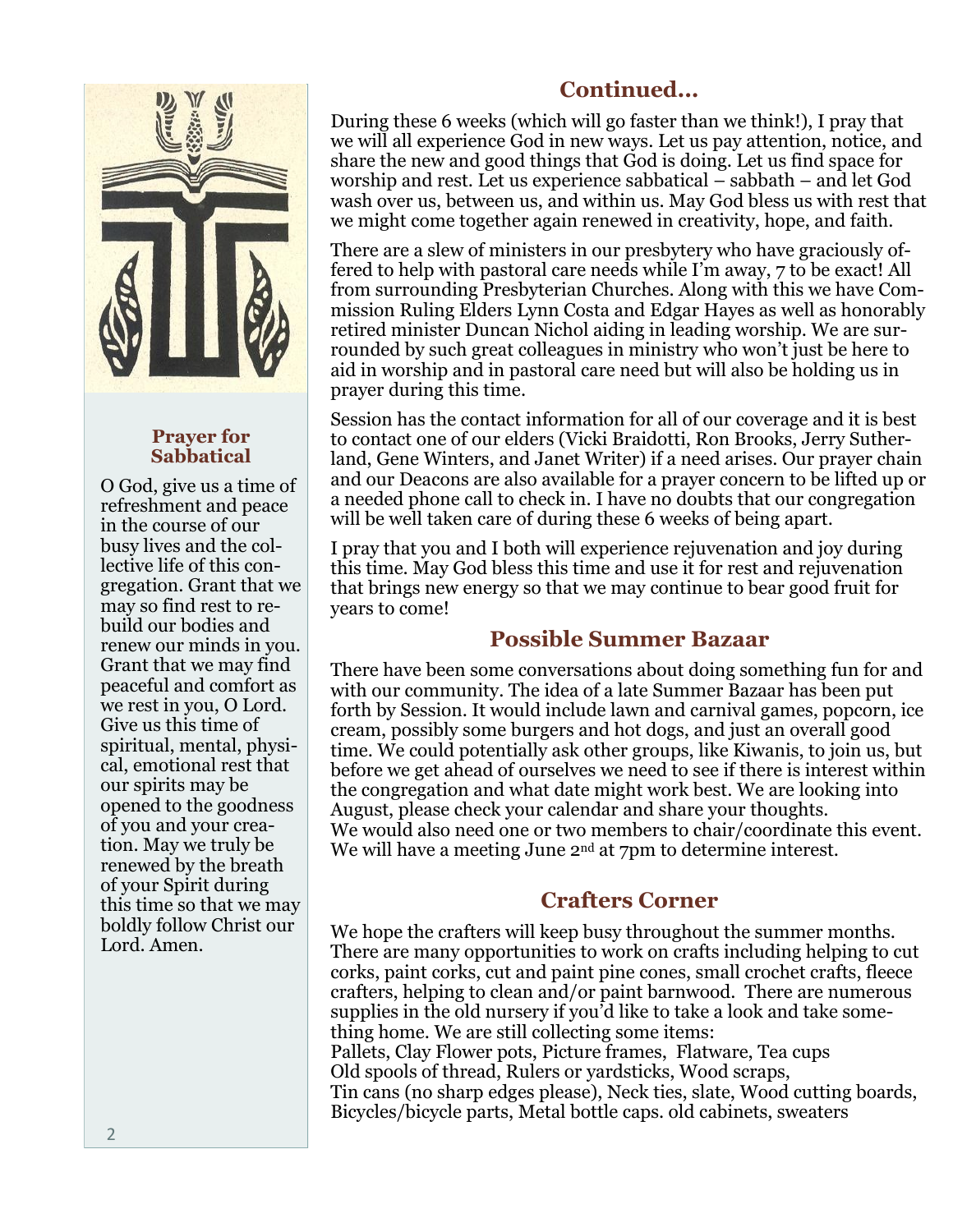

### **Prayer for Sabbatical**

O God, give us a time of refreshment and peace in the course of our busy lives and the collective life of this congregation. Grant that we may so find rest to rebuild our bodies and renew our minds in you. Grant that we may find peaceful and comfort as we rest in you, O Lord. Give us this time of spiritual, mental, physical, emotional rest that our spirits may be opened to the goodness of you and your creation. May we truly be renewed by the breath of your Spirit during this time so that we may boldly follow Christ our Lord. Amen.

## **Continued...**

During these 6 weeks (which will go faster than we think!), I pray that we will all experience God in new ways. Let us pay attention, notice, and share the new and good things that God is doing. Let us find space for worship and rest. Let us experience sabbatical – sabbath – and let God wash over us, between us, and within us. May God bless us with rest that we might come together again renewed in creativity, hope, and faith.

There are a slew of ministers in our presbytery who have graciously offered to help with pastoral care needs while I'm away, 7 to be exact! All from surrounding Presbyterian Churches. Along with this we have Commission Ruling Elders Lynn Costa and Edgar Hayes as well as honorably retired minister Duncan Nichol aiding in leading worship. We are surrounded by such great colleagues in ministry who won't just be here to aid in worship and in pastoral care need but will also be holding us in prayer during this time.

Session has the contact information for all of our coverage and it is best to contact one of our elders (Vicki Braidotti, Ron Brooks, Jerry Sutherland, Gene Winters, and Janet Writer) if a need arises. Our prayer chain and our Deacons are also available for a prayer concern to be lifted up or a needed phone call to check in. I have no doubts that our congregation will be well taken care of during these 6 weeks of being apart.

I pray that you and I both will experience rejuvenation and joy during this time. May God bless this time and use it for rest and rejuvenation that brings new energy so that we may continue to bear good fruit for years to come!

## **Possible Summer Bazaar**

There have been some conversations about doing something fun for and with our community. The idea of a late Summer Bazaar has been put forth by Session. It would include lawn and carnival games, popcorn, ice cream, possibly some burgers and hot dogs, and just an overall good time. We could potentially ask other groups, like Kiwanis, to join us, but before we get ahead of ourselves we need to see if there is interest within the congregation and what date might work best. We are looking into August, please check your calendar and share your thoughts. We would also need one or two members to chair/coordinate this event. We will have a meeting June  $2<sup>nd</sup>$  at 7pm to determine interest.

## **Crafters Corner**

We hope the crafters will keep busy throughout the summer months. There are many opportunities to work on crafts including helping to cut corks, paint corks, cut and paint pine cones, small crochet crafts, fleece crafters, helping to clean and/or paint barnwood. There are numerous supplies in the old nursery if you'd like to take a look and take something home. We are still collecting some items: Pallets, Clay Flower pots, Picture frames, Flatware, Tea cups Old spools of thread, Rulers or yardsticks, Wood scraps, Tin cans (no sharp edges please), Neck ties, slate, Wood cutting boards, Bicycles/bicycle parts, Metal bottle caps. old cabinets, sweaters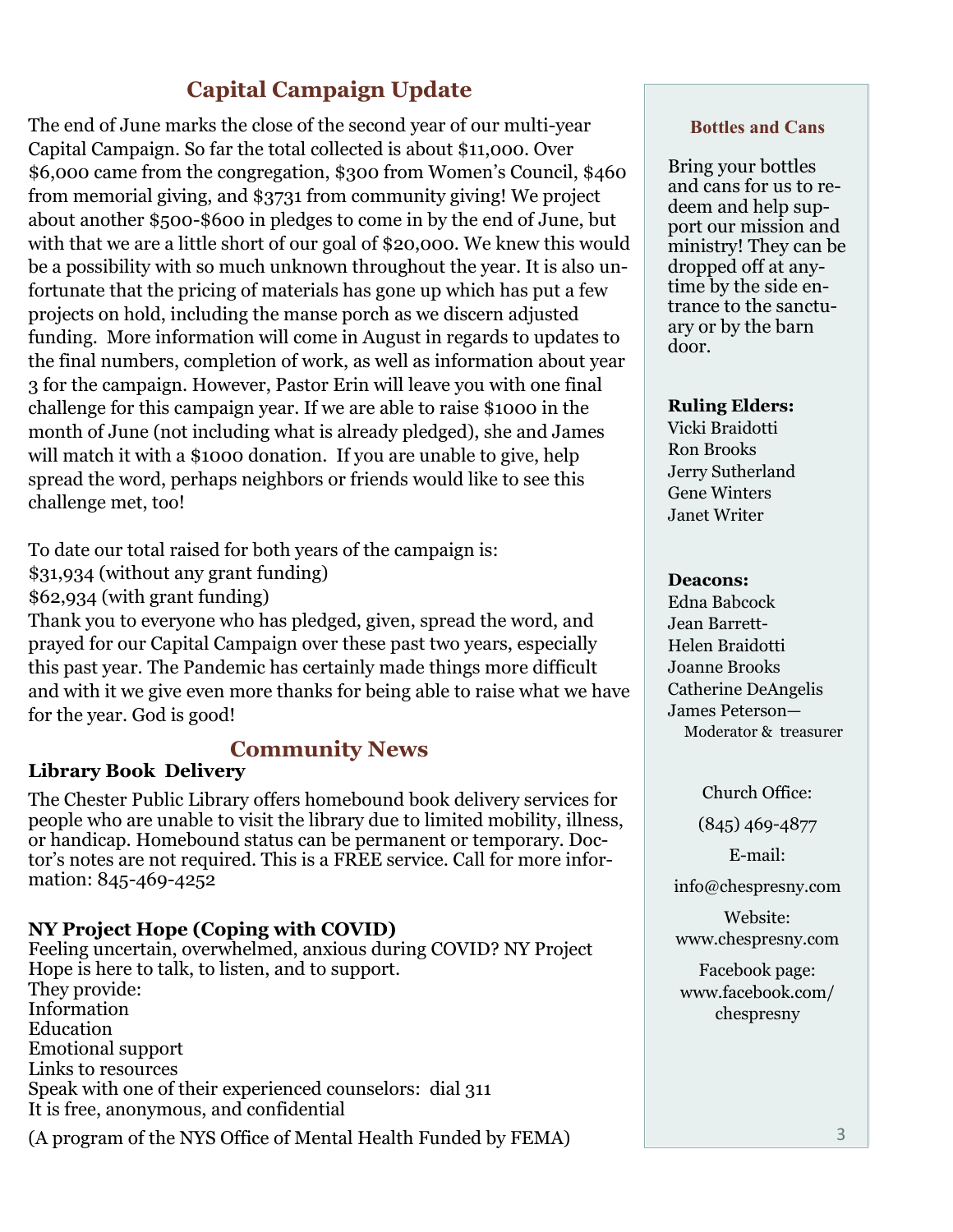## **Capital Campaign Update**

The end of June marks the close of the second year of our multi-year Capital Campaign. So far the total collected is about \$11,000. Over \$6,000 came from the congregation, \$300 from Women's Council, \$460 from memorial giving, and \$3731 from community giving! We project about another \$500-\$600 in pledges to come in by the end of June, but with that we are a little short of our goal of \$20,000. We knew this would be a possibility with so much unknown throughout the year. It is also unfortunate that the pricing of materials has gone up which has put a few projects on hold, including the manse porch as we discern adjusted funding. More information will come in August in regards to updates to the final numbers, completion of work, as well as information about year 3 for the campaign. However, Pastor Erin will leave you with one final challenge for this campaign year. If we are able to raise \$1000 in the month of June (not including what is already pledged), she and James will match it with a \$1000 donation. If you are unable to give, help spread the word, perhaps neighbors or friends would like to see this challenge met, too!

To date our total raised for both years of the campaign is:

- \$31,934 (without any grant funding)
- \$62,934 (with grant funding)

Thank you to everyone who has pledged, given, spread the word, and prayed for our Capital Campaign over these past two years, especially this past year. The Pandemic has certainly made things more difficult and with it we give even more thanks for being able to raise what we have for the year. God is good!

### **Community News**

### **Library Book Delivery**

The Chester Public Library offers homebound book delivery services for people who are unable to visit the library due to limited mobility, illness, or handicap. Homebound status can be permanent or temporary. Doctor's notes are not required. This is a FREE service. Call for more information: 845-469-4252

### **NY Project Hope (Coping with COVID)**

Feeling uncertain, overwhelmed, anxious during COVID? NY Project Hope is here to talk, to listen, and to support. They provide: Information Education Emotional support Links to resources Speak with one of their experienced counselors: dial 311 It is free, anonymous, and confidential

(A program of the NYS Office of Mental Health Funded by FEMA)

#### **Bottles and Cans**

Bring your bottles and cans for us to redeem and help support our mission and ministry! They can be dropped off at anytime by the side entrance to the sanctuary or by the barn door.

#### **Ruling Elders:**

Vicki Braidotti Ron Brooks Jerry Sutherland Gene Winters Janet Writer

#### **Deacons:**

Edna Babcock Jean Barrett-Helen Braidotti Joanne Brooks Catherine DeAngelis James Peterson— Moderator & treasurer

Church Office:

(845) 469-4877

E-mail:

info@chespresny.com

Website: www.chespresny.com

Facebook page: www.facebook.com/ chespresny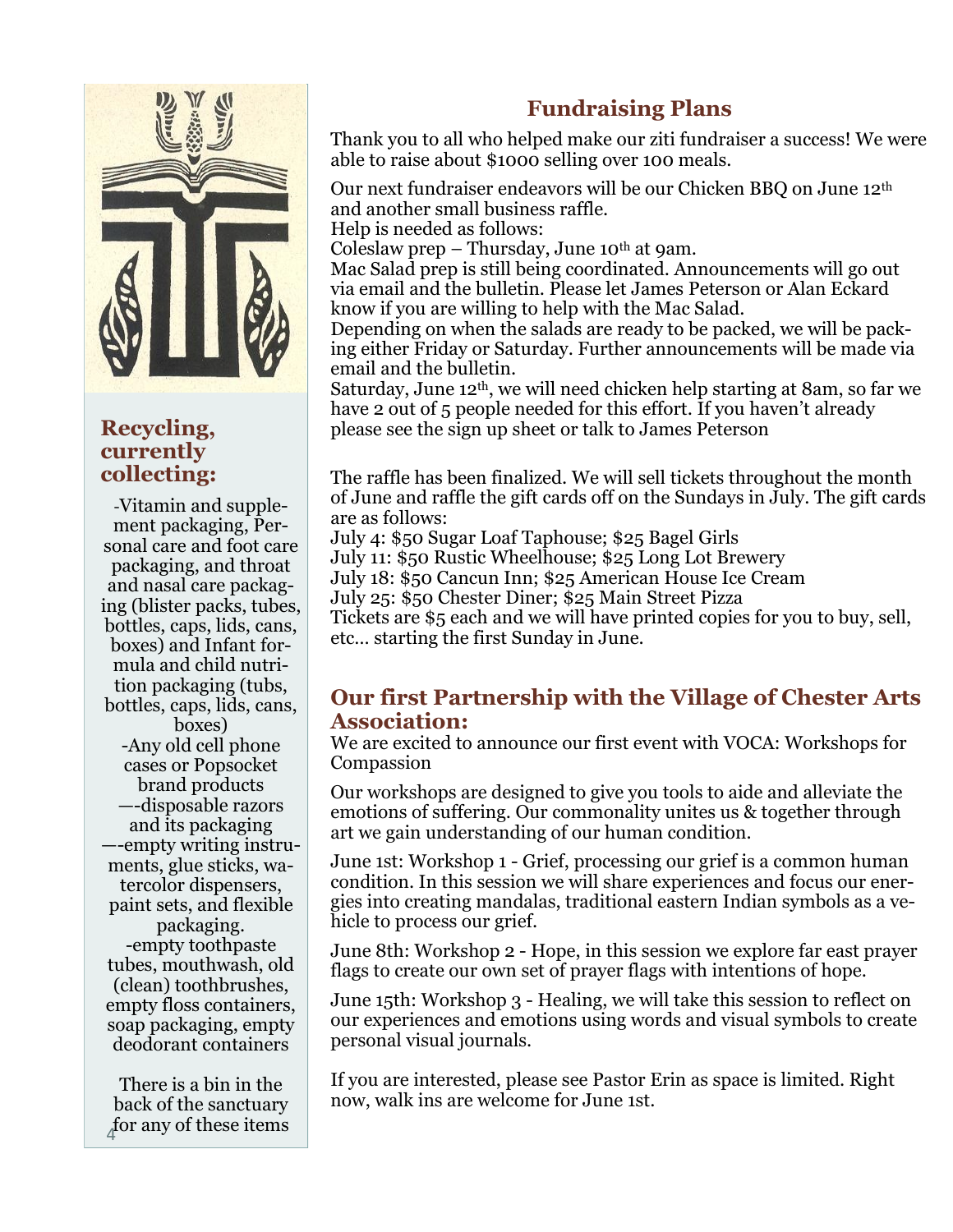

### **Recycling, currently collecting:**

-Vitamin and supplement packaging, Personal care and foot care packaging, and throat and nasal care packaging (blister packs, tubes, bottles, caps, lids, cans, boxes) and Infant formula and child nutrition packaging (tubs, bottles, caps, lids, cans, boxes) -Any old cell phone cases or Popsocket brand products —-disposable razors and its packaging —-empty writing instruments, glue sticks, watercolor dispensers, paint sets, and flexible packaging. -empty toothpaste tubes, mouthwash, old (clean) toothbrushes, empty floss containers, soap packaging, empty deodorant containers

There is a bin in the back of the sanctuary for any of these items <sup>4</sup>

## **Fundraising Plans**

Thank you to all who helped make our ziti fundraiser a success! We were able to raise about \$1000 selling over 100 meals.

Our next fundraiser endeavors will be our Chicken BBQ on June 12th and another small business raffle.

Help is needed as follows:

Coleslaw prep  $-$  Thursday, June 10<sup>th</sup> at 9am.

Mac Salad prep is still being coordinated. Announcements will go out via email and the bulletin. Please let James Peterson or Alan Eckard know if you are willing to help with the Mac Salad.

Depending on when the salads are ready to be packed, we will be packing either Friday or Saturday. Further announcements will be made via email and the bulletin.

Saturday, June 12th, we will need chicken help starting at 8am, so far we have 2 out of 5 people needed for this effort. If you haven't already please see the sign up sheet or talk to James Peterson

The raffle has been finalized. We will sell tickets throughout the month of June and raffle the gift cards off on the Sundays in July. The gift cards are as follows:

July 4: \$50 Sugar Loaf Taphouse; \$25 Bagel Girls

July 11: \$50 Rustic Wheelhouse; \$25 Long Lot Brewery

July 18: \$50 Cancun Inn; \$25 American House Ice Cream

July 25: \$50 Chester Diner; \$25 Main Street Pizza

Tickets are \$5 each and we will have printed copies for you to buy, sell, etc… starting the first Sunday in June.

### **Our first Partnership with the Village of Chester Arts Association:**

We are excited to announce our first event with VOCA: Workshops for Compassion

Our workshops are designed to give you tools to aide and alleviate the emotions of suffering. Our commonality unites us & together through art we gain understanding of our human condition.

June 1st: Workshop 1 - Grief, processing our grief is a common human condition. In this session we will share experiences and focus our energies into creating mandalas, traditional eastern Indian symbols as a vehicle to process our grief.

June 8th: Workshop 2 - Hope, in this session we explore far east prayer flags to create our own set of prayer flags with intentions of hope.

June 15th: Workshop 3 - Healing, we will take this session to reflect on our experiences and emotions using words and visual symbols to create personal visual journals.

If you are interested, please see Pastor Erin as space is limited. Right now, walk ins are welcome for June 1st.